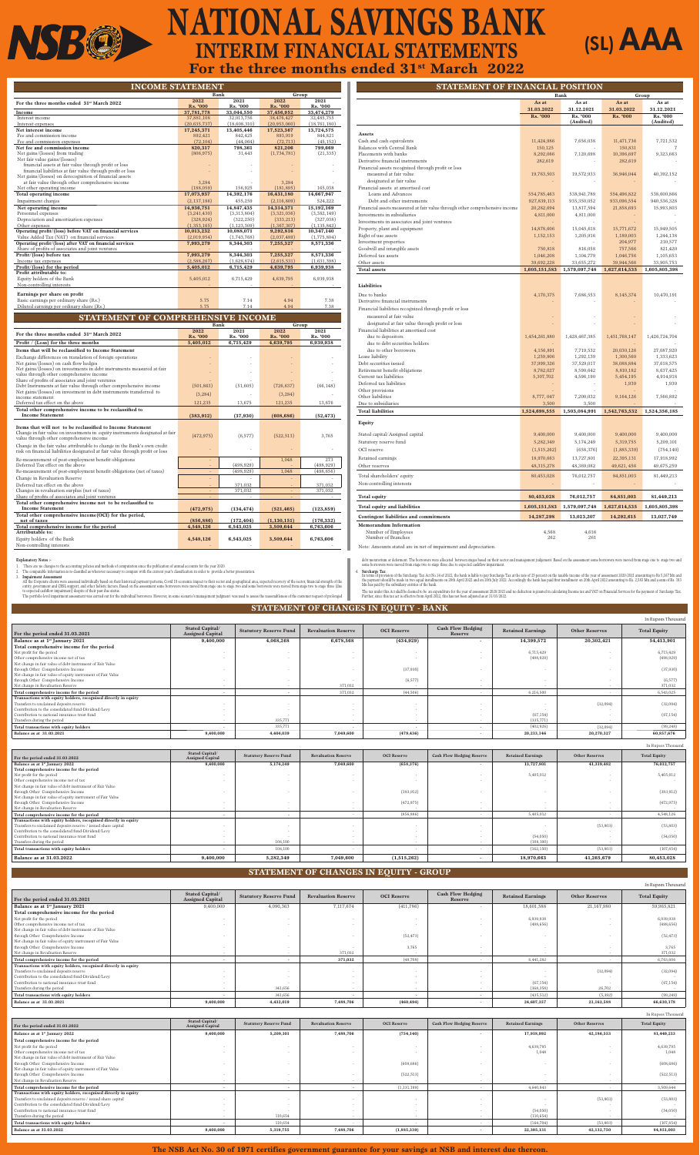| <b>INCOME STATEMENT</b>                                                                             |                         |                  |                         |                  |  |  |  |  |
|-----------------------------------------------------------------------------------------------------|-------------------------|------------------|-------------------------|------------------|--|--|--|--|
|                                                                                                     | Bank                    |                  | Group                   |                  |  |  |  |  |
| For the three months ended 31 <sup>st</sup> March 2022                                              | 2022<br><b>Rs. '000</b> | 2021<br>Rs. '000 | 2022<br><b>Rs. '000</b> | 2021<br>Rs. '000 |  |  |  |  |
| Income                                                                                              | 37,781,778              | 33,044,550       | 37,456,952              | 33,474,279       |  |  |  |  |
| Interest income                                                                                     | 37,881,108              | 32,013,756       | 38,476,427              | 32,485,755       |  |  |  |  |
| Interest expenses                                                                                   | (20, 635, 737)          | (18,608,310)     | (20, 953, 060)          | (18,761,180)     |  |  |  |  |
| Net interest income                                                                                 | 17,245,371              | 13,405,446       | 17,523,367              | 13,724,575       |  |  |  |  |
| Fee and commission income                                                                           | 892,421                 | 842,425          | 893,919                 | 844,821          |  |  |  |  |
| Fee and commission expenses                                                                         | (72, 104)               | (44,064)         | (72, 713)               | (45, 152)        |  |  |  |  |
| Net fee and commission income                                                                       | 820,317                 | 798,361          | 821,206                 | 799,669          |  |  |  |  |
| Net gains/(losses) from trading                                                                     | (806, 975)              | 31,443           | (1,734,781)             | (21, 335)        |  |  |  |  |
| Net fair value gains/(losses)                                                                       |                         |                  |                         |                  |  |  |  |  |
| financial assets at fair value through profit or loss                                               |                         |                  |                         |                  |  |  |  |  |
| financial liabilities at fair value through profit or loss                                          |                         |                  |                         |                  |  |  |  |  |
| Net gains/(losses) on derecognition of financial assets                                             |                         |                  |                         |                  |  |  |  |  |
| at fair value through other comprehensive income                                                    | 3,284                   |                  | 3,284                   |                  |  |  |  |  |
| Net other operating income                                                                          | (188, 059)              | 156,925          | (181, 895)              | 165,038          |  |  |  |  |
| Total operating income                                                                              | 17,073,937              | 14,392,176       | 16,431,180              | 14,667,947       |  |  |  |  |
| Impairment charges                                                                                  | (2,137,186)             | 455,259          | (2,116,809)             | 524,222          |  |  |  |  |
| Net operating income                                                                                | 14,936,751              | 14,847,435       | 14,314,371              | 15,192,169       |  |  |  |  |
| Personnel expenses                                                                                  | (3,241,430)             | (3,313,804)      | (3,321,036)             | (3,382,149)      |  |  |  |  |
| Depreciation and amortization expenses                                                              | (328, 924)              | (322, 250)       | (333, 213)              | (327,038)        |  |  |  |  |
| Other expenses                                                                                      | (1,353,165)             | (1, 123, 309)    | (1,367,307)             | (1, 135, 842)    |  |  |  |  |
| Operating profit/(loss) before VAT on financial services                                            | 10,013,232              | 10,088,071       | 9,292,816               | 10,347,140       |  |  |  |  |
| Value Added Tax (VAT) on financial services                                                         | (2,019,954)             | (1,743,768)      | (2,037,489)             | (1,775,804)      |  |  |  |  |
| Operating profit/(loss) after VAT on financial services                                             | 7,993,279               | 8,344,303        | 7,255,327               | 8,571,336        |  |  |  |  |
| Share of profits of associates and joint ventures                                                   |                         |                  |                         |                  |  |  |  |  |
| Profit/(loss) before tax                                                                            | 7,993,279               | 8,344,303        | 7,255,327               | 8,571,336        |  |  |  |  |
| Income tax expenses                                                                                 | (2,588,267)             | (1,628,874)      | (2,615,531)             | (1,631,398)      |  |  |  |  |
| Profit/(loss) for the period                                                                        | 5,405,012               | 6,715,429        | 4,639,795               | 6,939,938        |  |  |  |  |
| Profit attributable to:                                                                             |                         |                  |                         |                  |  |  |  |  |
| Equity holders of the Bank                                                                          | 5,405,012               | 6,715,429        | 4,639,795               | 6,939,938        |  |  |  |  |
| Non-controlling interests                                                                           |                         |                  |                         |                  |  |  |  |  |
|                                                                                                     |                         |                  |                         |                  |  |  |  |  |
| Earnings per share on profit                                                                        | 5.75                    | 7.14             | 4.94                    | 7.38             |  |  |  |  |
| Basic earnings per ordinary share (Rs.)                                                             | 5.75                    | 7.14             | 4.94                    | 7.38             |  |  |  |  |
| Diluted earnings per ordinary share (Rs.)                                                           |                         |                  |                         |                  |  |  |  |  |
| STATEMENT OF COMPREHENSIVE INCOME                                                                   |                         |                  |                         |                  |  |  |  |  |
|                                                                                                     |                         | Bank             | Group                   |                  |  |  |  |  |
| For the three months ended 31 <sup>st</sup> March 2022                                              | 2022<br><b>Rs. '000</b> | 2021<br>Rs. '000 | 2022<br><b>Rs. '000</b> | 2021<br>Rs. '000 |  |  |  |  |
| Profit / (Loss) for the three months                                                                | 5,405,012               | 6,715,429        | 4,639,795               | 6,939,938        |  |  |  |  |
| Items that will be reclassified to Income Statement                                                 |                         |                  |                         |                  |  |  |  |  |
|                                                                                                     |                         |                  |                         |                  |  |  |  |  |
| Exchange differences on translation of foreign operations<br>Net gains/(losses) on cash flow hedges |                         |                  |                         |                  |  |  |  |  |
| Net gains/(losses) on investments in debt instruments measured at fair                              |                         |                  |                         |                  |  |  |  |  |
| value through other comprehensive income                                                            |                         |                  |                         |                  |  |  |  |  |
| Share of profits of associates and joint ventures                                                   |                         |                  |                         |                  |  |  |  |  |
| Debt Instruments at fair value through other comprehensive income                                   | (501, 863)              | (51,605)         | (726, 637)              | (66, 148)        |  |  |  |  |
| Net gains/(losses) on investment in debt instruments transferred to                                 | (2.981)                 |                  | (2.981)                 |                  |  |  |  |  |

 $i$  (3,284)  $(3,284)$  (3,284)  $(3,284)$  (3,284)  $(3,284)$ Deferred tax effect on the above 121,235 13,675 121,235 13,676 **Total other comprehensive income to be reclassified to Income Statement** (383,912) (37,930) (608,686) (52,473) **Items that will not to be reclassified to Income Statement**  Change in fair value on investments in equity instruments designated at fair Unange in fair value on investments in equity instruments designated at fair (472,975) (6,577) (522,513) 3,765<br>value through other comprehensive income Change in the fair value attributable to change in the Bank's own credit  $\operatorname*{risk}$  on financial liabilities designated at fair value through profit or loss Re-measurement of post-employment benefit obligations <br>Deferred Tax effect on the above (498,929) (498,929) (498,929) (498,929) Deferred Tax effect on the above  $\,$ Re-measurement of post-employment benefit obligations (net of taxes) (498,929) 1,048 (498,656) Change in Revaluation Reserve - - - - Deferred tax effect on the above 371,032 - 371,032 - 371,032 - 371,032 - 371,032 - 371,032 - 371,032 - 371,032 - 371,032 - 371,032 - 371,032 - 371,032 - 371,032 - 371,032 - 371,032 - 371,032 - 371,032 - 371,032 - 371,032 -Changes in revaluation surplus (net of taxes) Share of profits of associates and joint ventures **Total other comprehensive income not to be reclassified to Income Statement** (472,975) (134,474) (521,465) (123,859)<br> **Total other comprehensive income(OCI) for the period,** (321,465) (123,859)  **net of taxes** (856,886) (172,404) (1,130,151) (176,332) **Total comprehensive income for the period 4,548,126 6,543,025 3,509,644 6,763,606 Attributable to:**  Equity holders of the Bank **4,548,126 6,543,025 3,509,644 6,763,606** Non-controlling interests

**STATEMENT OF FINANCIAL POSITION**

|                                                                               |                 | Bank                  |                 | Group                 |
|-------------------------------------------------------------------------------|-----------------|-----------------------|-----------------|-----------------------|
|                                                                               | As at           | As at                 | As at           | As at                 |
|                                                                               | 31.03.2022      | 31.12.2021            | 31.03.2022      | 31.12.2021            |
|                                                                               | <b>Rs. '000</b> | Rs. '000<br>(Audited) | <b>Rs. '000</b> | Rs. '000<br>(Audited) |
| Assets                                                                        |                 |                       |                 |                       |
| Cash and cash equivalents                                                     | 11,424,986      | 7,656,038             | 11,471,736      | 7,721,532             |
| Balances with Central Bank                                                    | 150,125         |                       | 150,831         | 7                     |
| Placements with banks                                                         | 8,292,066       | 7,120,698             | 10,396,697      | 9,323,663             |
| Derivative financial instruments                                              | 282,619         |                       | 282,619         |                       |
| Financial assets recognized through profit or loss<br>measured at fair value  | 19,763,503      | 19,572,933            | 36,946,044      | 40,392,152            |
| designated at fair value                                                      |                 |                       |                 |                       |
| Financial assets at amortised cost                                            |                 |                       |                 |                       |
| Loans and Advances                                                            | 554,785,463     | 538,941,789           | 554,496,822     | 538,600,866           |
| Debt and other instruments                                                    | 927,839,113     | 935,350,052           | 933,096,554     | 940,536,328           |
| Financial assets meassured at fair value through other comprehensive income   | 20,282,694      | 13,817,594            | 21,858,693      | 15,993,803            |
| Investments in subsidiaries                                                   | 4,811,000       | 4,811,000             |                 |                       |
| Investments in associates and joint ventures<br>Property, plant and equipment | 14,878,606      | 15,045,618            | 15,771,672      | 15,949,505            |
| Right of use assets                                                           | 1,152,153       | 1,205,916             | 1,189,003       | 1,244,138             |
| Investment properties                                                         |                 |                       | 204,977         | 210,577               |
| Goodwill and intangible assets                                                | 750,818         | 816,058               | 757,566         | 821,420               |
| Deferred tax assets                                                           | 1,046,208       | 1,104,779             | 1,046,756       | 1,105,653             |
| Other assets                                                                  | 39,692,228      | 33,655,272            | 39,944,566      | 33,905,753            |
| <b>Total assets</b>                                                           | 1,605,151,583   | 1,579,097,748         | 1,627,614,535   | 1,605,805,398         |
| Liabilities                                                                   |                 |                       |                 |                       |
| Due to banks                                                                  | 4,170,375       | 7,686,553             | 8,145,374       | 10,470,191            |
| Derivative financial instruments                                              |                 |                       |                 |                       |
| Financial liabilities recognized through profit or loss                       |                 |                       |                 |                       |
| measured at fair value                                                        |                 |                       |                 |                       |
| designated at fair value through profit or loss                               |                 |                       |                 |                       |
| Financial liabilities at amortised cost                                       |                 |                       |                 |                       |
| due to depositors                                                             | 1,454,261,880   | 1,428,467,385         | 1,451,768,147   | 1,426,724,704         |
| due to debt securities holders<br>due to other borrowers                      | 4,156,891       | 7,719,532             | 20,030,126      | 27,087,920            |
| Lease liability                                                               | 1,259,806       | 1,292,139             | 1,300,560       | 1,333,623             |
| Debt securities issued                                                        | 37,999,326      | 37,529,017            | 38,088,884      | 37,618,575            |
| Retirement benefit obligations                                                | 8,762,027       | 8,590,642             | 8,810,182       | 8,637,425             |
| Current tax liabilities                                                       | 5,307,702       | 4,596,190             | 5,454,195       | 4,914,918             |
| Deferred tax liabilities                                                      |                 |                       | 1,939           | 1,939                 |
| Other provisions<br>Other liabilities                                         | 8,777,047       | 7,200,032             | 9,164,126       | 7,566,892             |
| Due to subsidiaries                                                           | 3,500           | 3,500                 |                 |                       |
| <b>Total liabilities</b>                                                      | 1,524,698,555   | 1,503,084,991         | 1,542,763,532   | 1,524,356,185         |
| Equity                                                                        |                 |                       |                 |                       |
| Stated capital/Assigned capital                                               | 9,400,000       | 9,400,000             | 9,400,000       | 9,400,000             |
| Statutory reserve fund                                                        | 5,282,349       | 5,174,249             | 5,319,755       | 5,209,101             |
| OCI reserve                                                                   | (1,515,262)     | (658, 376)            | (1,885,339)     | (754, 140)            |
| Retained earnings                                                             | 18,970,663      | 13,727,801            | 22,395,131      | 17,918,992            |
| Other reserves                                                                | 48,315,278      | 48,369,082            | 49,621, 456     | 49,675,259            |
|                                                                               | 80,453,028      |                       |                 |                       |
| Total shareholders' equity<br>Non-controlling interests                       |                 | 76,012,757            | 84,851,003      | 81,449,213            |
| <b>Total equity</b>                                                           | 80,453,028      | 76,012,757            | 84,851,003      | 81,449,213            |
| Total equity and liabilities                                                  | 1,605,151,583   | 1,579,097,748         | 1,627,614,535   | 1,605,805,398         |
| Contingent liabilities and commitments                                        | 14,287,298      | 13,023,207            | 14,292,615      | 13,027,749            |
| <b>Memorandum Information</b>                                                 |                 |                       |                 |                       |
| Number of Employees                                                           | 4,568           | 4,616                 |                 |                       |
| Number of Branches                                                            | 262             | 261                   |                 |                       |

# **NATIONAL SAVINGS BANK INTERIM FINANCIAL STATEMENTS** For the three months ended  $31^{st}$  March 2022

Note: Amounts stated are in net of impairment and depreciation.

debt moratorum or determent. The borrowers were allocated between stages based on their sector and management judgement. Based on the assessment some borrowers were moved from stage one to stage two and<br>some borrowers were

4. Surcharge Tax<br>In terms of the Surcharge Tax Act No.14 of 2022, the bank is liable to pay Surcharge Tax at the rate of 25 percent on the taxable income of the year of assessment 2020/2021 amounting to Rs 5,167 Mn and<br>the

The tax under this Act shall be deemed to be an expenditure for the year of assessment 200/2021 and no deduction is granted in calculating Income tax and VAT on Financial Services for the payment of Surcharge Tax.<br>Further,

**Explanatory Notes :-**

1. There are no changes to the accounting policies and methods of computation since the publication of annual accounts for the year 2020.

2. The comparable information is re-classified as wherever necessary to compare with the current year's classification in order to provide a better presentation.

NSB@

3. Imparment Assessment<br>All the Corporate clients were assessed individually based on their historical payment patterns, Covid 19 economic impact to their sector and geographical area, expected recovery of the sector, fina

The portfolio level impairment assessment was carried out for the individual borrowers. However, in some scenario's management judgment was used to assess the reasonableness of the customer request of prolonged

#### **STATEMENT OF CHANGES IN EQUITY - BANK**

|                                                                 |                                                   |                               |                            |                    |                                     |                          |                       | In Rupees Thousand  |
|-----------------------------------------------------------------|---------------------------------------------------|-------------------------------|----------------------------|--------------------|-------------------------------------|--------------------------|-----------------------|---------------------|
| For the period ended 31.03.2021                                 | <b>Stated Capital/</b><br><b>Assigned Capital</b> | <b>Statutory Reserve Fund</b> | <b>Revaluation Reserve</b> | <b>OCI Reserve</b> | <b>Cash Flow Hedging</b><br>Reserve | <b>Retained Earnings</b> | <b>Other Reserves</b> | <b>Total Equity</b> |
| Balance as at 1 <sup>st</sup> January 2021                      | 9,400,000                                         | 4,068,268                     | 6,678,568                  | (434, 929)         |                                     | 14,399,572               | 20,302,421            | 54,413,901          |
| Total comprehensive income for the period                       |                                                   |                               |                            |                    |                                     |                          |                       |                     |
| Net profit for the period                                       |                                                   |                               |                            |                    |                                     | 6,715,429                |                       | 6,715,429           |
| Other comprehensive income net of tax                           |                                                   |                               |                            |                    |                                     | (498, 929)               |                       | (498, 929)          |
| Net change in fair value of debt instrument of Fair Value       |                                                   |                               |                            |                    |                                     |                          |                       |                     |
| through Other Comprehensive Income                              |                                                   |                               |                            | (37, 930)          |                                     |                          |                       | (37,930)            |
| Net change in fair value of equity instrument of Fair Value     |                                                   |                               |                            |                    |                                     |                          |                       |                     |
| through Other Comprehensive Income                              |                                                   |                               |                            | (6, 577)           |                                     |                          |                       | (6, 577)            |
| Net change in Revaluation Reserve                               |                                                   |                               | 371,032                    |                    |                                     |                          |                       | 371,032             |
| Total comprehensive income for the period                       |                                                   |                               | 371,032                    | (44,506)           |                                     | 6,216,500                |                       | 6,543,025           |
| Transactions with equity holders, recognised directly in equity |                                                   |                               |                            |                    |                                     |                          |                       |                     |
| Transfers to unclaimed deposits reserve                         |                                                   |                               |                            |                    |                                     |                          | (32,094)              | (32,094)            |
| Contribution to the consolidated fund-Dividend/Levy             |                                                   |                               | $\sim$                     |                    |                                     |                          |                       |                     |
| Contribution to national insurance trust fund                   |                                                   |                               |                            |                    |                                     | (67, 154)                |                       | (67, 154)           |
| Transfers during the period                                     |                                                   | 335,771                       |                            |                    |                                     | (335,771)                |                       |                     |
| Total transactions with equity holders                          |                                                   | 335,771                       |                            |                    |                                     | (402, 926)               | (32,094)              | (99,248)            |
| Balance as at 31.03.2021                                        | 9,400,000                                         | 4,404,039                     | 7,049,600                  | (479, 436)         |                                     | 20,213,146               | 20,270,327            | 60,857,676          |

|                                                                 |                                            |                               |                            |                    |                                  |                          |                       | In Rupees Thousand  |
|-----------------------------------------------------------------|--------------------------------------------|-------------------------------|----------------------------|--------------------|----------------------------------|--------------------------|-----------------------|---------------------|
| For the period ended 31.03.2022                                 | Stated Capital/<br><b>Assigned Capital</b> | <b>Statutory Reserve Fund</b> | <b>Revaluation Reserve</b> | <b>OCI</b> Reserve | <b>Cash Flow Hedging Reserve</b> | <b>Retained Earnings</b> | <b>Other Reserves</b> | <b>Total Equity</b> |
| Balance as at 1st January 2022                                  | 9,400,000                                  | 5,174,249                     | 7,049,600                  | (658, 376)         |                                  | 13,727,801               | 41,319,482            | 76,012,757          |
| Total comprehensive income for the period                       |                                            |                               |                            |                    |                                  |                          |                       |                     |
| Net profit for the period                                       |                                            |                               |                            |                    |                                  | 5,405,012                |                       | 5,405,012           |
| Other comprehensive income net of tax                           |                                            |                               |                            |                    |                                  |                          |                       |                     |
| Net change in fair value of debt instrument of Fair Value       |                                            |                               |                            |                    |                                  |                          |                       |                     |
| through Other Comprehensive Income                              |                                            |                               |                            | (383, 912)         |                                  |                          |                       | (383, 912)          |
| Net change in fair value of equity instrument of Fair Value     |                                            |                               |                            |                    |                                  |                          |                       |                     |
| through Other Comprehensive Income                              |                                            |                               |                            | (472, 975)         |                                  |                          |                       | (472, 975)          |
| Net change in Revaluation Reserve                               |                                            |                               |                            |                    |                                  |                          |                       |                     |
| Total comprehensive income for the period                       |                                            |                               |                            | (856, 886)         |                                  | 5,405,012                |                       | 4,548,126           |
| Transactions with equity holders, recognised directly in equity |                                            |                               |                            |                    |                                  |                          |                       |                     |
| Transfers to unclaimed deposits reserve / issued share capital  |                                            |                               |                            |                    |                                  |                          | (53,803)              | (53,803)            |
| Contribution to the consolidated fund-Dividend/Levy             |                                            |                               |                            |                    |                                  |                          |                       |                     |
| Contribution to national insurance trust fund                   |                                            |                               |                            |                    |                                  | (54,050)                 |                       | (54,050)            |
| Transfers during the period                                     |                                            | 108,100                       |                            |                    |                                  | (108, 100)               |                       |                     |
| Total transactions with equity holders                          |                                            | 108,100                       |                            |                    |                                  | (162, 150)               | (53,803)              | (107, 854)          |
| Balance as at 31.03.2022                                        | 9,400,000                                  | 5,282,349                     | 7,049,600                  | (1,515,262)        | . .                              | 18,970,663               | 41,265,679            | 80,453,028          |

#### **STATEMENT OF CHANGES IN EQUITY - GROUP**



**The NSB Act No. 30 of 1971 certifies government guarantee for your savings at NSB and interest due thereon.**

|                                                                 |                                                   |                               |                            |                    |                                     |                          |                          | In Rupees Thousand  |
|-----------------------------------------------------------------|---------------------------------------------------|-------------------------------|----------------------------|--------------------|-------------------------------------|--------------------------|--------------------------|---------------------|
| For the period ended 31.03.2021                                 | <b>Stated Capital/</b><br><b>Assigned Capital</b> | <b>Statutory Reserve Fund</b> | <b>Revaluation Reserve</b> | <b>OCI Reserve</b> | <b>Cash Flow Hedging</b><br>Reserve | <b>Retained Earnings</b> | <b>Other Reserves</b>    | <b>Total Equity</b> |
| Balance as at 1 <sup>st</sup> January 2021                      | 9,400,000                                         | 4,090,363                     | 7,117,674                  | (411,786)          | . .                                 | 18,601,588               | 21,167,980               | 59,965,821          |
| Total comprehensive income for the period                       |                                                   |                               |                            |                    |                                     |                          |                          |                     |
| Net profit for the period                                       |                                                   |                               |                            |                    |                                     | 6,939,938                |                          | 6,939,938           |
| Other comprehensive income net of tax                           |                                                   |                               |                            |                    |                                     | (498, 656)               |                          | (498, 656)          |
| Net change in fair value of debt instrument of Fair Value       |                                                   |                               |                            |                    |                                     |                          |                          |                     |
| through Other Comprehensive Income                              |                                                   |                               |                            | (52, 473)          |                                     |                          | $\overline{\phantom{a}}$ | (52, 473)           |
| Net change in fair value of equity instrument of Fair Value     |                                                   |                               |                            |                    |                                     |                          |                          |                     |
| through Other Comprehensive Income                              |                                                   |                               |                            | 3,765              |                                     |                          | $\overline{\phantom{a}}$ | 3.765               |
| Net change in Revaluation Reserve                               |                                                   |                               | 371,032                    |                    |                                     |                          | $\overline{\phantom{a}}$ | 371,032             |
| Total comprehensive income for the period                       |                                                   |                               | 371,032                    | (48, 708)          |                                     | 6,441,282                | $\overline{\phantom{a}}$ | 6,763,606           |
| Transactions with equity holders, recognised directly in equity |                                                   |                               |                            |                    |                                     |                          |                          |                     |
| Transfers to unclaimed deposits reserve                         |                                                   |                               |                            |                    |                                     |                          | (32,094)                 | (32,094)            |
| Contribution to the consolidated fund-Dividend/Levy             |                                                   | $\sim$                        | $\sim$                     |                    |                                     |                          | $\overline{\phantom{a}}$ |                     |
| Contribution to national insurance trust fund                   |                                                   |                               |                            |                    |                                     | (67, 154)                |                          | (67, 154)           |
| Transfers during the period                                     |                                                   | 341.656                       |                            |                    |                                     | (368, 358)               | 26,702                   | $\sim$              |
| Total transactions with equity holders                          |                                                   | 341,656                       |                            |                    |                                     | (435,512)                | (5,392)                  | (99,249)            |
| Balance as at 31.03.2021                                        | 9,400,000                                         | 4,432,019                     | 7,488,706                  | (460, 494)         |                                     | 24,607,357               | 21,162,588               | 66,630,178          |

|                                                                 |                                            |                               |                            |                    |                                  |                          |                       | In Rupees Thousan   |
|-----------------------------------------------------------------|--------------------------------------------|-------------------------------|----------------------------|--------------------|----------------------------------|--------------------------|-----------------------|---------------------|
| For the period ended 31.03.2022                                 | Stated Capital/<br><b>Assigned Capital</b> | <b>Statutory Reserve Fund</b> | <b>Revaluation Reserve</b> | <b>OCI Reserve</b> | <b>Cash Flow Hedging Reserve</b> | <b>Retained Earnings</b> | <b>Other Reserves</b> | <b>Total Equity</b> |
| Balance as at 1st January 2022                                  | 9,400,000                                  | 5,209,101                     | 7,488,706                  | (754, 140)         |                                  | 17,918,992               | 42,186,553            | 81,449,213          |
| Total comprehensive income for the period                       |                                            |                               |                            |                    |                                  |                          |                       |                     |
| Net profit for the period                                       |                                            |                               |                            |                    |                                  | 4,639,795                |                       | 4,639,795           |
| Other comprehensive income net of tax                           |                                            |                               |                            |                    |                                  | 1,048                    |                       | 1.048               |
| Net change in fair value of debt instrument of Fair Value       |                                            |                               |                            |                    |                                  |                          |                       |                     |
| through Other Comprehensive Income                              |                                            |                               |                            | (608, 686)         |                                  |                          |                       | (608, 686)          |
| Net change in fair value of equity instrument of Fair Value     |                                            |                               |                            |                    |                                  |                          |                       |                     |
| through Other Comprehensive Income                              |                                            |                               |                            | (522, 513)         |                                  |                          |                       | (522, 513)          |
| Net change in Revaluation Reserve                               |                                            |                               |                            |                    |                                  |                          |                       |                     |
| Total comprehensive income for the period                       |                                            |                               |                            | (1,131,199)        |                                  | 4,640,843                |                       | 3,509,644           |
| Transactions with equity holders, recognised directly in equity |                                            |                               |                            |                    |                                  |                          |                       |                     |
| Transfers to unclaimed deposits reserve / issued share capital  |                                            |                               |                            |                    |                                  |                          | (53,803)              | (53,803)            |
| Contribution to the consolidated fund-Dividend/Levy             |                                            |                               |                            |                    |                                  |                          |                       |                     |
| Contribution to national insurance trust fund                   |                                            |                               |                            |                    |                                  | (54,050)                 |                       | (54,050)            |
| Transfers during the period                                     |                                            | 110,654                       |                            |                    |                                  | (110, 654)               |                       |                     |
| Total transactions with equity holders                          |                                            | 110,654                       |                            |                    |                                  | (164, 704)               | (53,803)              | (107, 854)          |
| Balance as at 31.03.2022                                        | 9,400,000                                  | 5,319,755                     | 7,488,706                  | (1,885,339)        |                                  | 22,395,131               | 42,132,750            | 84,851,003          |